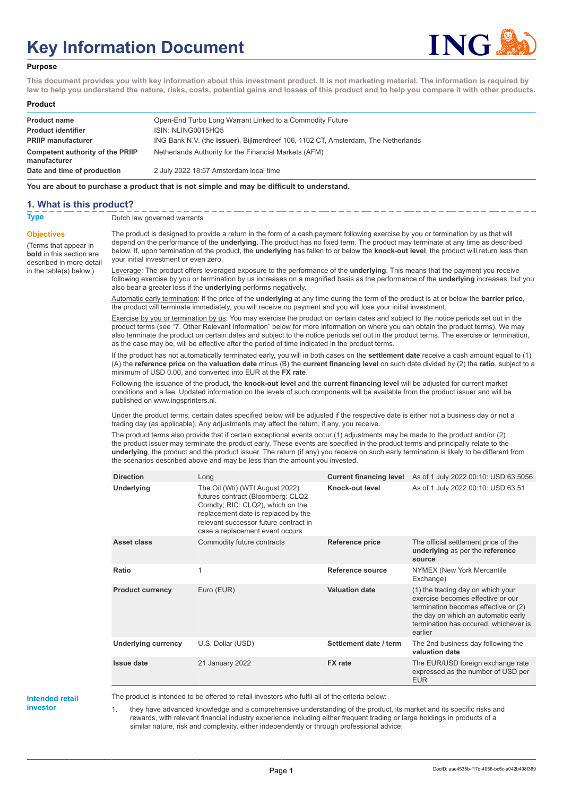# **Key Information Document**



#### **Purpose**

**This document provides you with key information about this investment product. It is not marketing material. The information is required by law to help you understand the nature, risks, costs, potential gains and losses of this product and to help you compare it with other products.**

#### **Product**

| <b>Product name</b>                              | Open-End Turbo Long Warrant Linked to a Commodity Future                                  |
|--------------------------------------------------|-------------------------------------------------------------------------------------------|
| <b>Product identifier</b>                        | ISIN: NLING0015HQ5                                                                        |
| <b>PRIIP manufacturer</b>                        | ING Bank N.V. (the <b>issuer</b> ), Bijlmerdreef 106, 1102 CT, Amsterdam, The Netherlands |
| Competent authority of the PRIIP<br>manufacturer | Netherlands Authority for the Financial Markets (AFM)                                     |
| Date and time of production                      | 2 July 2022 18:57 Amsterdam local time                                                    |

**You are about to purchase a product that is not simple and may be difficult to understand.**

### **1. What is this product?**

**Objectives**

(Terms that appear in **bold** in this section are

in the table(s) below.)

**Type** Dutch law governed warrants

described in more detail The product is designed to provide a return in the form of a cash payment following exercise by you or termination by us that will depend on the performance of the **underlying**. The product has no fixed term. The product may terminate at any time as described below. If, upon termination of the product, the **underlying** has fallen to or below the **knock-out level**, the product will return less than your initial investment or even zero.

> Leverage: The product offers leveraged exposure to the performance of the **underlying**. This means that the payment you receive following exercise by you or termination by us increases on a magnified basis as the performance of the **underlying** increases, but you also bear a greater loss if the **underlying** performs negatively.

Automatic early termination: If the price of the **underlying** at any time during the term of the product is at or below the **barrier price**, the product will terminate immediately, you will receive no payment and you will lose your initial investment.

Exercise by you or termination by us: You may exercise the product on certain dates and subject to the notice periods set out in the product terms (see "7. Other Relevant Information" below for more information on where you can obtain the product terms). We may also terminate the product on certain dates and subject to the notice periods set out in the product terms. The exercise or termination, as the case may be, will be effective after the period of time indicated in the product terms.

If the product has not automatically terminated early, you will in both cases on the **settlement date** receive a cash amount equal to (1) (A) the **reference price** on the **valuation date** minus (B) the **current financing level** on such date divided by (2) the **ratio**, subject to a minimum of USD 0.00, and converted into EUR at the **FX rate**.

Following the issuance of the product, the **knock-out level** and the **current financing level** will be adjusted for current market conditions and a fee. Updated information on the levels of such components will be available from the product issuer and will be published on www.ingsprinters.nl.

Under the product terms, certain dates specified below will be adjusted if the respective date is either not a business day or not a trading day (as applicable). Any adjustments may affect the return, if any, you receive.

The product terms also provide that if certain exceptional events occur (1) adjustments may be made to the product and/or (2) the product issuer may terminate the product early. These events are specified in the product terms and principally relate to the **underlying**, the product and the product issuer. The return (if any) you receive on such early termination is likely to be different from the scenarios described above and may be less than the amount you invested.

| <b>Direction</b>           | Long                                                                                                                                                                                                                        | <b>Current financing level</b> | As of 1 July 2022 00:10: USD 63.5056                                                                                                                                                                      |
|----------------------------|-----------------------------------------------------------------------------------------------------------------------------------------------------------------------------------------------------------------------------|--------------------------------|-----------------------------------------------------------------------------------------------------------------------------------------------------------------------------------------------------------|
| Underlying                 | The Oil (Wti) (WTI August 2022)<br>futures contract (Bloomberg: CLQ2<br>Comdty; RIC: CLQ2), which on the<br>replacement date is replaced by the<br>relevant successor future contract in<br>case a replacement event occurs | Knock-out level                | As of 1 July 2022 00:10: USD 63.51                                                                                                                                                                        |
| Asset class                | Commodity future contracts                                                                                                                                                                                                  | <b>Reference price</b>         | The official settlement price of the<br>underlying as per the reference<br>source                                                                                                                         |
| Ratio                      | 1                                                                                                                                                                                                                           | Reference source               | NYMEX (New York Mercantile<br>Exchange)                                                                                                                                                                   |
| <b>Product currency</b>    | Euro (EUR)                                                                                                                                                                                                                  | <b>Valuation date</b>          | (1) the trading day on which your<br>exercise becomes effective or our<br>termination becomes effective or (2)<br>the day on which an automatic early<br>termination has occured, whichever is<br>earlier |
| <b>Underlying currency</b> | U.S. Dollar (USD)                                                                                                                                                                                                           | Settlement date / term         | The 2nd business day following the<br>valuation date                                                                                                                                                      |
| <b>Issue date</b>          | 21 January 2022                                                                                                                                                                                                             | <b>FX</b> rate                 | The EUR/USD foreign exchange rate<br>expressed as the number of USD per<br><b>EUR</b>                                                                                                                     |

**Intended retail investor**

The product is intended to be offered to retail investors who fulfil all of the criteria below:

they have advanced knowledge and a comprehensive understanding of the product, its market and its specific risks and rewards, with relevant financial industry experience including either frequent trading or large holdings in products of a similar nature, risk and complexity, either independently or through professional advice;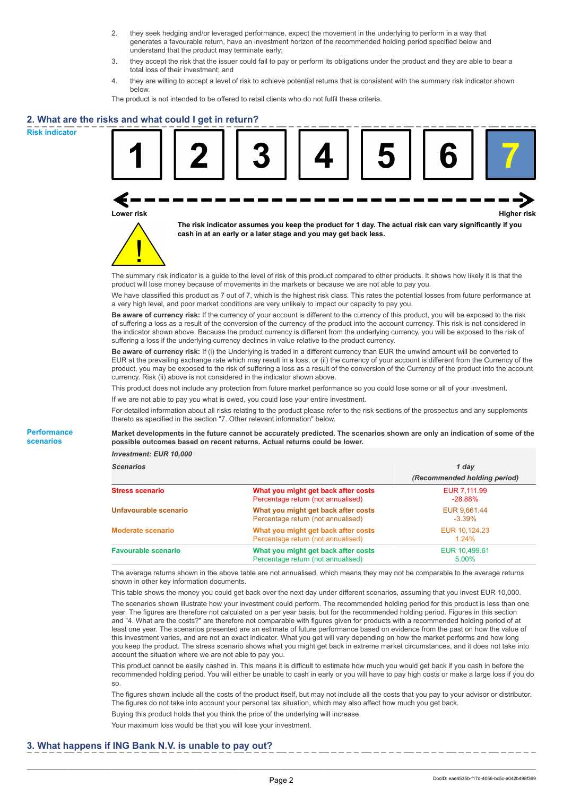- 2. they seek hedging and/or leveraged performance, expect the movement in the underlying to perform in a way that generates a favourable return, have an investment horizon of the recommended holding period specified below and understand that the product may terminate early;
- 3. they accept the risk that the issuer could fail to pay or perform its obligations under the product and they are able to bear a total loss of their investment; and
- 4. they are willing to accept a level of risk to achieve potential returns that is consistent with the summary risk indicator shown below.

The product is not intended to be offered to retail clients who do not fulfil these criteria.

## **2. What are the risks and what could I get in return?**

**Risk indicator**

**Performance scenarios**





**The risk indicator assumes you keep the product for 1 day. The actual risk can vary significantly if you cash in at an early or a later stage and you may get back less.**

The summary risk indicator is a guide to the level of risk of this product compared to other products. It shows how likely it is that the product will lose money because of movements in the markets or because we are not able to pay you.

We have classified this product as 7 out of 7, which is the highest risk class. This rates the potential losses from future performance at a very high level, and poor market conditions are very unlikely to impact our capacity to pay you.

**Be aware of currency risk:** If the currency of your account is different to the currency of this product, you will be exposed to the risk of suffering a loss as a result of the conversion of the currency of the product into the account currency. This risk is not considered in the indicator shown above. Because the product currency is different from the underlying currency, you will be exposed to the risk of suffering a loss if the underlying currency declines in value relative to the product currency.

**Be aware of currency risk:** If (i) the Underlying is traded in a different currency than EUR the unwind amount will be converted to EUR at the prevailing exchange rate which may result in a loss; or (ii) the currency of your account is different from the Currency of the product, you may be exposed to the risk of suffering a loss as a result of the conversion of the Currency of the product into the account currency. Risk (ii) above is not considered in the indicator shown above.

This product does not include any protection from future market performance so you could lose some or all of your investment.

If we are not able to pay you what is owed, you could lose your entire investment.

For detailed information about all risks relating to the product please refer to the risk sections of the prospectus and any supplements thereto as specified in the section "7. Other relevant information" below.

**Market developments in the future cannot be accurately predicted. The scenarios shown are only an indication of some of the possible outcomes based on recent returns. Actual returns could be lower.**

*Investment: EUR 10,000*

| <b>Scenarios</b>           |                                                                           | 1 day                        |  |
|----------------------------|---------------------------------------------------------------------------|------------------------------|--|
|                            |                                                                           | (Recommended holding period) |  |
| Stress scenario            | What you might get back after costs<br>Percentage return (not annualised) | EUR 7.111.99<br>$-28.88\%$   |  |
| Unfavourable scenario      | What you might get back after costs<br>Percentage return (not annualised) | EUR 9.661.44<br>$-3.39\%$    |  |
| <b>Moderate scenario</b>   | What you might get back after costs<br>Percentage return (not annualised) | EUR 10.124.23<br>$1.24\%$    |  |
| <b>Favourable scenario</b> | What you might get back after costs<br>Percentage return (not annualised) | EUR 10,499.61<br>5.00%       |  |

The average returns shown in the above table are not annualised, which means they may not be comparable to the average returns shown in other key information documents.

This table shows the money you could get back over the next day under different scenarios, assuming that you invest EUR 10,000. The scenarios shown illustrate how your investment could perform. The recommended holding period for this product is less than one year. The figures are therefore not calculated on a per year basis, but for the recommended holding period. Figures in this section and "4. What are the costs?" are therefore not comparable with figures given for products with a recommended holding period of at least one year. The scenarios presented are an estimate of future performance based on evidence from the past on how the value of this investment varies, and are not an exact indicator. What you get will vary depending on how the market performs and how long you keep the product. The stress scenario shows what you might get back in extreme market circumstances, and it does not take into account the situation where we are not able to pay you.

This product cannot be easily cashed in. This means it is difficult to estimate how much you would get back if you cash in before the recommended holding period. You will either be unable to cash in early or you will have to pay high costs or make a large loss if you do so.

The figures shown include all the costs of the product itself, but may not include all the costs that you pay to your advisor or distributor. The figures do not take into account your personal tax situation, which may also affect how much you get back.

Buying this product holds that you think the price of the underlying will increase.

Your maximum loss would be that you will lose your investment.

## **3. What happens if ING Bank N.V. is unable to pay out?**